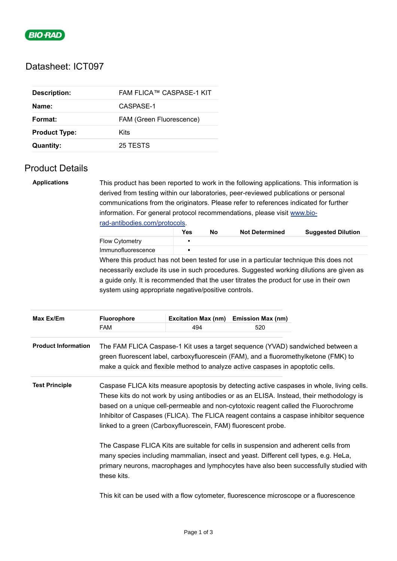

## Datasheet: ICT097

| <b>Description:</b>  | FAM FLICA™ CASPASE-1 KIT |
|----------------------|--------------------------|
| Name:                | CASPASE-1                |
| Format:              | FAM (Green Fluorescence) |
| <b>Product Type:</b> | Kits                     |
| <b>Quantity:</b>     | 25 TESTS                 |

these kits.

## Product Details

**Applications** This product has been reported to work in the following applications. This information is derived from testing within our laboratories, peer-reviewed publications or personal communications from the originators. Please refer to references indicated for further information. For general protocol recommendations, please visit [www.bio](https://www.bio-rad-antibodies.com/protocols)rad-antibodies.com/protocols.

|                       | Yes | No | <b>Not Determined</b> | <b>Suggested Dilution</b> |
|-----------------------|-----|----|-----------------------|---------------------------|
| <b>Flow Cytometry</b> |     |    |                       |                           |
| Immunofluorescence    |     |    |                       |                           |

Where this product has not been tested for use in a particular technique this does not necessarily exclude its use in such procedures. Suggested working dilutions are given as a guide only. It is recommended that the user titrates the product for use in their own system using appropriate negative/positive controls.

| Max Ex/Em                  | <b>Fluorophore</b>                                                                                                                                                          | <b>Excitation Max (nm)</b> | <b>Emission Max (nm)</b> |                                                                                                                                                                                                                                                                                 |
|----------------------------|-----------------------------------------------------------------------------------------------------------------------------------------------------------------------------|----------------------------|--------------------------|---------------------------------------------------------------------------------------------------------------------------------------------------------------------------------------------------------------------------------------------------------------------------------|
|                            | FAM                                                                                                                                                                         | 494                        | 520                      |                                                                                                                                                                                                                                                                                 |
| <b>Product Information</b> | green fluorescent label, carboxyfluorescein (FAM), and a fluoromethylketone (FMK) to<br>make a quick and flexible method to analyze active caspases in apoptotic cells.     |                            |                          | The FAM FLICA Caspase-1 Kit uses a target sequence (YVAD) sandwiched between a                                                                                                                                                                                                  |
| <b>Test Principle</b>      | based on a unique cell-permeable and non-cytotoxic reagent called the Fluorochrome<br>linked to a green (Carboxyfluorescein, FAM) fluorescent probe.                        |                            |                          | Caspase FLICA kits measure apoptosis by detecting active caspases in whole, living cells.<br>These kits do not work by using antibodies or as an ELISA. Instead, their methodology is<br>Inhibitor of Caspases (FLICA). The FLICA reagent contains a caspase inhibitor sequence |
|                            | The Caspase FLICA Kits are suitable for cells in suspension and adherent cells from<br>many species including mammalian, insect and yeast. Different cell types, e.g. HeLa, |                            |                          | primary neurons, macrophages and lymphocytes have also been successfully studied with                                                                                                                                                                                           |

This kit can be used with a flow cytometer, fluorescence microscope or a fluorescence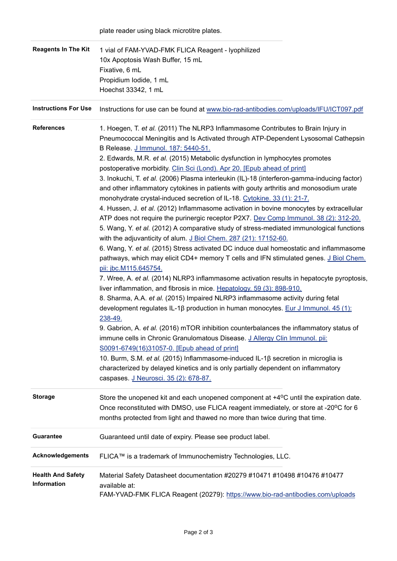| <b>Reagents In The Kit</b>              | 1 vial of FAM-YVAD-FMK FLICA Reagent - lyophilized<br>10x Apoptosis Wash Buffer, 15 mL<br>Fixative, 6 mL<br>Propidium lodide, 1 mL<br>Hoechst 33342, 1 mL                                                                                                                                                                                                                                                                                                                                                                                                                                                                                                                                                                                                                                                                                                                                                                                                                                                                                                                                                                                                                                                                                                                                                                                                                                                                                                                                                                                                                                                                                                                                                                                                                                                                                                                                                                                                                                                                   |
|-----------------------------------------|-----------------------------------------------------------------------------------------------------------------------------------------------------------------------------------------------------------------------------------------------------------------------------------------------------------------------------------------------------------------------------------------------------------------------------------------------------------------------------------------------------------------------------------------------------------------------------------------------------------------------------------------------------------------------------------------------------------------------------------------------------------------------------------------------------------------------------------------------------------------------------------------------------------------------------------------------------------------------------------------------------------------------------------------------------------------------------------------------------------------------------------------------------------------------------------------------------------------------------------------------------------------------------------------------------------------------------------------------------------------------------------------------------------------------------------------------------------------------------------------------------------------------------------------------------------------------------------------------------------------------------------------------------------------------------------------------------------------------------------------------------------------------------------------------------------------------------------------------------------------------------------------------------------------------------------------------------------------------------------------------------------------------------|
| <b>Instructions For Use</b>             | Instructions for use can be found at www.bio-rad-antibodies.com/uploads/IFU/ICT097.pdf                                                                                                                                                                                                                                                                                                                                                                                                                                                                                                                                                                                                                                                                                                                                                                                                                                                                                                                                                                                                                                                                                                                                                                                                                                                                                                                                                                                                                                                                                                                                                                                                                                                                                                                                                                                                                                                                                                                                      |
| <b>References</b>                       | 1. Hoegen, T. et al. (2011) The NLRP3 Inflammasome Contributes to Brain Injury in<br>Pneumococcal Meningitis and Is Activated through ATP-Dependent Lysosomal Cathepsin<br>B Release. J Immunol. 187: 5440-51.<br>2. Edwards, M.R. et al. (2015) Metabolic dysfunction in lymphocytes promotes<br>postoperative morbidity. Clin Sci (Lond). Apr 20. [Epub ahead of print]<br>3. Inokuchi, T. et al. (2006) Plasma interleukin (IL)-18 (interferon-gamma-inducing factor)<br>and other inflammatory cytokines in patients with gouty arthritis and monosodium urate<br>monohydrate crystal-induced secretion of IL-18. Cytokine. 33 (1): 21-7.<br>4. Hussen, J. et al. (2012) Inflammasome activation in bovine monocytes by extracellular<br>ATP does not require the purinergic receptor P2X7. Dev Comp Immunol. 38 (2): 312-20.<br>5. Wang, Y. et al. (2012) A comparative study of stress-mediated immunological functions<br>with the adjuvanticity of alum. J Biol Chem. 287 (21): 17152-60.<br>6. Wang, Y. et al. (2015) Stress activated DC induce dual homeostatic and inflammasome<br>pathways, which may elicit CD4+ memory T cells and IFN stimulated genes. J Biol Chem.<br>pii: jbc.M115.645754.<br>7. Wree, A. et al. (2014) NLRP3 inflammasome activation results in hepatocyte pyroptosis,<br>liver inflammation, and fibrosis in mice. Hepatology. 59 (3): 898-910.<br>8. Sharma, A.A. et al. (2015) Impaired NLRP3 inflammasome activity during fetal<br>development regulates IL-1 $\beta$ production in human monocytes. Eur J Immunol. 45 (1):<br>238-49.<br>9. Gabrion, A. et al. (2016) mTOR inhibition counterbalances the inflammatory status of<br>immune cells in Chronic Granulomatous Disease. J Allergy Clin Immunol. pii:<br>S0091-6749(16)31057-0. [Epub ahead of print]<br>10. Burm, S.M. et al. (2015) Inflammasome-induced IL-1β secretion in microglia is<br>characterized by delayed kinetics and is only partially dependent on inflammatory<br>caspases. J Neurosci. 35 (2): 678-87. |
| <b>Storage</b>                          | Store the unopened kit and each unopened component at +4 <sup>o</sup> C until the expiration date.<br>Once reconstituted with DMSO, use FLICA reagent immediately, or store at -20°C for 6<br>months protected from light and thawed no more than twice during that time.                                                                                                                                                                                                                                                                                                                                                                                                                                                                                                                                                                                                                                                                                                                                                                                                                                                                                                                                                                                                                                                                                                                                                                                                                                                                                                                                                                                                                                                                                                                                                                                                                                                                                                                                                   |
| <b>Guarantee</b>                        | Guaranteed until date of expiry. Please see product label.                                                                                                                                                                                                                                                                                                                                                                                                                                                                                                                                                                                                                                                                                                                                                                                                                                                                                                                                                                                                                                                                                                                                                                                                                                                                                                                                                                                                                                                                                                                                                                                                                                                                                                                                                                                                                                                                                                                                                                  |
| <b>Acknowledgements</b>                 | FLICA™ is a trademark of Immunochemistry Technologies, LLC.                                                                                                                                                                                                                                                                                                                                                                                                                                                                                                                                                                                                                                                                                                                                                                                                                                                                                                                                                                                                                                                                                                                                                                                                                                                                                                                                                                                                                                                                                                                                                                                                                                                                                                                                                                                                                                                                                                                                                                 |
| <b>Health And Safety</b><br>Information | Material Safety Datasheet documentation #20279 #10471 #10498 #10476 #10477<br>available at:<br>FAM-YVAD-FMK FLICA Reagent (20279): https://www.bio-rad-antibodies.com/uploads                                                                                                                                                                                                                                                                                                                                                                                                                                                                                                                                                                                                                                                                                                                                                                                                                                                                                                                                                                                                                                                                                                                                                                                                                                                                                                                                                                                                                                                                                                                                                                                                                                                                                                                                                                                                                                               |